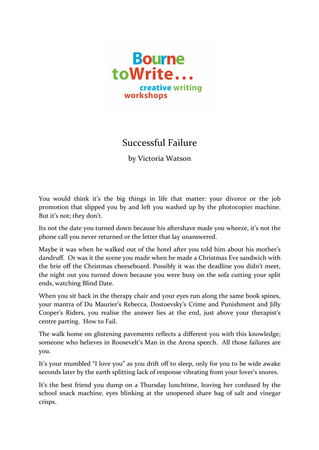

## Successful Failure

by Victoria Watson

You would think it's the big things in life that matter: your divorce or the job promotion that slipped you by and left you washed up by the photocopier machine. But it's not; they don't.

Its not the date you turned down because his aftershave made you wheeze, it's not the phone call you never returned or the letter that lay unanswered.

Maybe it was when he walked out of the hotel after you told him about his mother's dandruff. Or was it the scene you made when he made a Christmas Eve sandwich with the brie off the Christmas cheeseboard. Possibly it was the deadline you didn't meet, the night out you turned down because you were busy on the sofa cutting your split ends, watching Blind Date.

When you sit back in the therapy chair and your eyes run along the same book spines, your mantra of Du Maurier's Rebecca, Dostoevsky's Crime and Punishment and Jilly Cooper's Riders, you realise the answer lies at the end, just above your therapist's centre parting. How to Fail.

The walk home on glistening pavements reflects a different you with this knowledge; someone who believes in Roosevelt's Man in the Arena speech. All those failures are you.

It's your mumbled "I love you" as you drift off to sleep, only for you to be wide awake seconds later by the earth splitting lack of response vibrating from your lover's snores.

It's the best friend you dump on a Thursday lunchtime, leaving her confused by the school snack machine, eyes blinking at the unopened share bag of salt and vinegar crisps.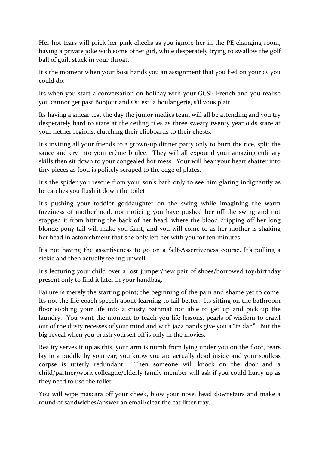Her hot tears will prick her pink cheeks as you ignore her in the PE changing room, having a private joke with some other girl, while desperately trying to swallow the golf ball of guilt stuck in your throat.

It's the moment when your boss hands you an assignment that you lied on your cv you could do.

Its when you start a conversation on holiday with your GCSE French and you realise you cannot get past Bonjour and Ou est la boulangerie, s'il vous plait.

Its having a smear test the day the junior medics team will all be attending and you try desperately hard to stare at the ceiling tiles as three sweaty twenty year olds stare at your nether regions, clutching their clipboards to their chests.

It's inviting all your friends to a grown-up dinner party only to burn the rice, split the sauce and cry into your crème brulee. They will all expound your amazing culinary skills then sit down to your congealed hot mess. Your will hear your heart shatter into tiny pieces as food is politely scraped to the edge of plates.

It's the spider you rescue from your son's bath only to see him glaring indignantly as he catches you flush it down the toilet.

It's pushing your toddler goddaughter on the swing while imagining the warm fuzziness of motherhood, not noticing you have pushed her off the swing and not stopped it from hitting the back of her head, where the blood dripping off her long blonde pony tail will make you faint, and you will come to as her mother is shaking her head in astonishment that she only left her with you for ten minutes.

It's not having the assertiveness to go on a Self-Assertiveness course. It's pulling a sickie and then actually feeling unwell.

It's lecturing your child over a lost jumper/new pair of shoes/borrowed toy/birthday present only to find it later in your handbag.

Failure is merely the starting point; the beginning of the pain and shame yet to come. Its not the life coach speech about learning to fail better. Its sitting on the bathroom floor sobbing your life into a crusty bathmat not able to get up and pick up the laundry. You want the moment to teach you life lessons, pearls of wisdom to crawl out of the dusty recesses of your mind and with jazz hands give you a "ta dah". But the big reveal when you brush yourself off is only in the movies.

Reality serves it up as this, your arm is numb from lying under you on the floor, tears lay in a puddle by your ear; you know you are actually dead inside and your soulless corpse is utterly redundant. Then someone will knock on the door and a child/partner/work colleague/elderly family member will ask if you could hurry up as they need to use the toilet.

You will wipe mascara off your cheek, blow your nose, head downstairs and make a round of sandwiches/answer an email/clear the cat litter tray.